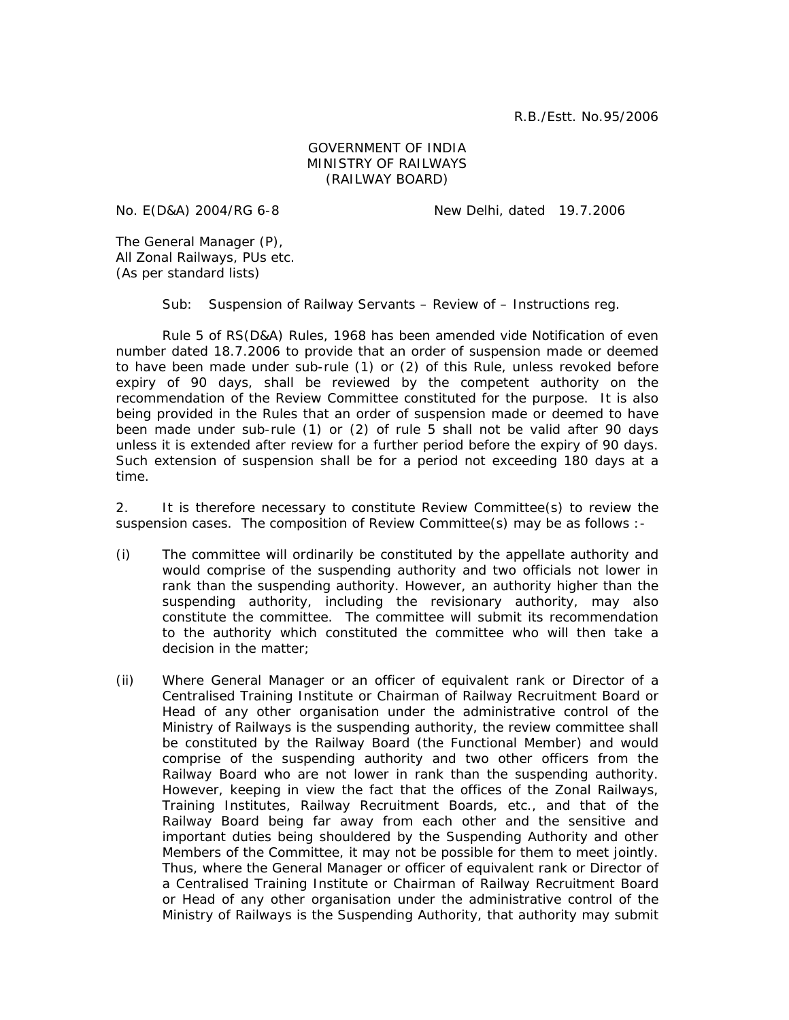## GOVERNMENT OF INDIA MINISTRY OF RAILWAYS (RAILWAY BOARD)

No. E(D&A) 2004/RG 6-8 New Delhi, dated 19.7.2006

The General Manager (P), All Zonal Railways, PUs etc. (As per standard lists)

Sub: Suspension of Railway Servants – Review of – Instructions reg.

 Rule 5 of RS(D&A) Rules, 1968 has been amended vide Notification of even number dated 18.7.2006 to provide that an order of suspension made or deemed to have been made under sub-rule (1) or (2) of this Rule, unless revoked before expiry of 90 days, shall be reviewed by the competent authority on the recommendation of the Review Committee constituted for the purpose. It is also being provided in the Rules that an order of suspension made or deemed to have been made under sub-rule (1) or (2) of rule 5 shall not be valid after 90 days unless it is extended after review for a further period before the expiry of 90 days. Such extension of suspension shall be for a period not exceeding 180 days at a time.

2. It is therefore necessary to constitute Review Committee(s) to review the suspension cases. The composition of Review Committee(s) may be as follows :-

- (i) The committee will ordinarily be constituted by the appellate authority and would comprise of the suspending authority and two officials not lower in rank than the suspending authority. However, an authority higher than the suspending authority, including the revisionary authority, may also constitute the committee. The committee will submit its recommendation to the authority which constituted the committee who will then take a decision in the matter;
- (ii) Where General Manager or an officer of equivalent rank or Director of a Centralised Training Institute or Chairman of Railway Recruitment Board or Head of any other organisation under the administrative control of the Ministry of Railways is the suspending authority, the review committee shall be constituted by the Railway Board (the Functional Member) and would comprise of the suspending authority and two other officers from the Railway Board who are not lower in rank than the suspending authority. However, keeping in view the fact that the offices of the Zonal Railways, Training Institutes, Railway Recruitment Boards, etc., and that of the Railway Board being far away from each other and the sensitive and important duties being shouldered by the Suspending Authority and other Members of the Committee, it may not be possible for them to meet jointly. Thus, where the General Manager or officer of equivalent rank or Director of a Centralised Training Institute or Chairman of Railway Recruitment Board or Head of any other organisation under the administrative control of the Ministry of Railways is the Suspending Authority, that authority may submit